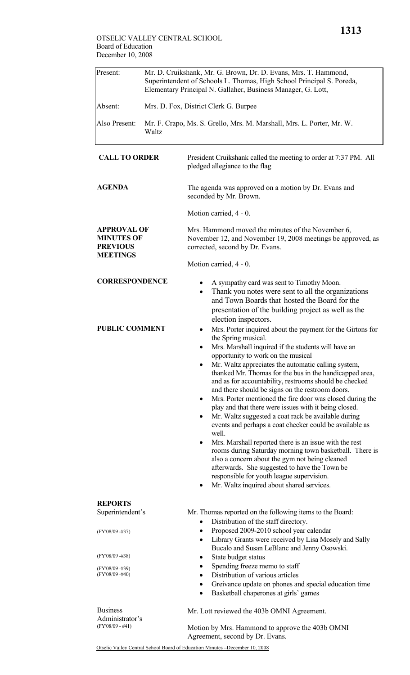| Present:      | Mr. D. Cruikshank, Mr. G. Brown, Dr. D. Evans, Mrs. T. Hammond,<br>Superintendent of Schools L. Thomas, High School Principal S. Poreda,<br>Elementary Principal N. Gallaher, Business Manager, G. Lott, |
|---------------|----------------------------------------------------------------------------------------------------------------------------------------------------------------------------------------------------------|
| Absent:       | Mrs. D. Fox, District Clerk G. Burpee                                                                                                                                                                    |
| Also Present: | Mr. F. Crapo, Ms. S. Grello, Mrs. M. Marshall, Mrs. L. Porter, Mr. W.<br>Waltz                                                                                                                           |

| <b>CALL TO ORDER</b>                                                          | President Cruikshank called the meeting to order at 7:37 PM. All<br>pledged allegiance to the flag                                                                                                                                                                                                                                                                                                                                                                                                                                                                                                                                                                                                                                                                                                                                                                                                                                                                                                                                                                                                                                                                                                                                                                                 |  |  |  |
|-------------------------------------------------------------------------------|------------------------------------------------------------------------------------------------------------------------------------------------------------------------------------------------------------------------------------------------------------------------------------------------------------------------------------------------------------------------------------------------------------------------------------------------------------------------------------------------------------------------------------------------------------------------------------------------------------------------------------------------------------------------------------------------------------------------------------------------------------------------------------------------------------------------------------------------------------------------------------------------------------------------------------------------------------------------------------------------------------------------------------------------------------------------------------------------------------------------------------------------------------------------------------------------------------------------------------------------------------------------------------|--|--|--|
| <b>AGENDA</b>                                                                 | The agenda was approved on a motion by Dr. Evans and<br>seconded by Mr. Brown.                                                                                                                                                                                                                                                                                                                                                                                                                                                                                                                                                                                                                                                                                                                                                                                                                                                                                                                                                                                                                                                                                                                                                                                                     |  |  |  |
|                                                                               | Motion carried, 4 - 0.                                                                                                                                                                                                                                                                                                                                                                                                                                                                                                                                                                                                                                                                                                                                                                                                                                                                                                                                                                                                                                                                                                                                                                                                                                                             |  |  |  |
| <b>APPROVAL OF</b><br><b>MINUTES OF</b><br><b>PREVIOUS</b><br><b>MEETINGS</b> | Mrs. Hammond moved the minutes of the November 6,<br>November 12, and November 19, 2008 meetings be approved, as<br>corrected, second by Dr. Evans.<br>Motion carried, 4 - 0.                                                                                                                                                                                                                                                                                                                                                                                                                                                                                                                                                                                                                                                                                                                                                                                                                                                                                                                                                                                                                                                                                                      |  |  |  |
| <b>CORRESPONDENCE</b><br><b>PUBLIC COMMENT</b>                                | A sympathy card was sent to Timothy Moon.<br>Thank you notes were sent to all the organizations<br>$\bullet$<br>and Town Boards that hosted the Board for the<br>presentation of the building project as well as the<br>election inspectors.<br>Mrs. Porter inquired about the payment for the Girtons for<br>the Spring musical.<br>Mrs. Marshall inquired if the students will have an<br>٠<br>opportunity to work on the musical<br>Mr. Waltz appreciates the automatic calling system,<br>$\bullet$<br>thanked Mr. Thomas for the bus in the handicapped area,<br>and as for accountability, restrooms should be checked<br>and there should be signs on the restroom doors.<br>Mrs. Porter mentioned the fire door was closed during the<br>٠<br>play and that there were issues with it being closed.<br>Mr. Waltz suggested a coat rack be available during<br>$\bullet$<br>events and perhaps a coat checker could be available as<br>well.<br>Mrs. Marshall reported there is an issue with the rest<br>rooms during Saturday morning town basketball. There is<br>also a concern about the gym not being cleaned<br>afterwards. She suggested to have the Town be<br>responsible for youth league supervision.<br>Mr. Waltz inquired about shared services.<br>$\bullet$ |  |  |  |
| <b>REPORTS</b>                                                                |                                                                                                                                                                                                                                                                                                                                                                                                                                                                                                                                                                                                                                                                                                                                                                                                                                                                                                                                                                                                                                                                                                                                                                                                                                                                                    |  |  |  |
| Superintendent's                                                              | Mr. Thomas reported on the following items to the Board:<br>Distribution of the staff directory.<br>$\bullet$                                                                                                                                                                                                                                                                                                                                                                                                                                                                                                                                                                                                                                                                                                                                                                                                                                                                                                                                                                                                                                                                                                                                                                      |  |  |  |
| (FY'08/09 -#37)                                                               | Proposed 2009-2010 school year calendar<br>Library Grants were received by Lisa Mosely and Sally<br>٠<br>Bucalo and Susan LeBlanc and Jenny Osowski.                                                                                                                                                                                                                                                                                                                                                                                                                                                                                                                                                                                                                                                                                                                                                                                                                                                                                                                                                                                                                                                                                                                               |  |  |  |
| (FY'08/09 -#38)                                                               | State budget status<br>٠                                                                                                                                                                                                                                                                                                                                                                                                                                                                                                                                                                                                                                                                                                                                                                                                                                                                                                                                                                                                                                                                                                                                                                                                                                                           |  |  |  |
| (FY'08/09 -#39)<br>(FY'08/09 -#40)                                            | Spending freeze memo to staff<br>Distribution of various articles<br>Greivance update on phones and special education time<br>Basketball chaperones at girls' games<br>٠                                                                                                                                                                                                                                                                                                                                                                                                                                                                                                                                                                                                                                                                                                                                                                                                                                                                                                                                                                                                                                                                                                           |  |  |  |
| <b>Business</b><br>Administrator's<br>(FY'08/09 - #41)                        | Mr. Lott reviewed the 403b OMNI Agreement.<br>Motion by Mrs. Hommond to enprove the 403b OMNI                                                                                                                                                                                                                                                                                                                                                                                                                                                                                                                                                                                                                                                                                                                                                                                                                                                                                                                                                                                                                                                                                                                                                                                      |  |  |  |

(FY'08/09 - #41)

Motion by Mrs. Hammond to approve the 403b OMNI Agreement, second by Dr. Evans.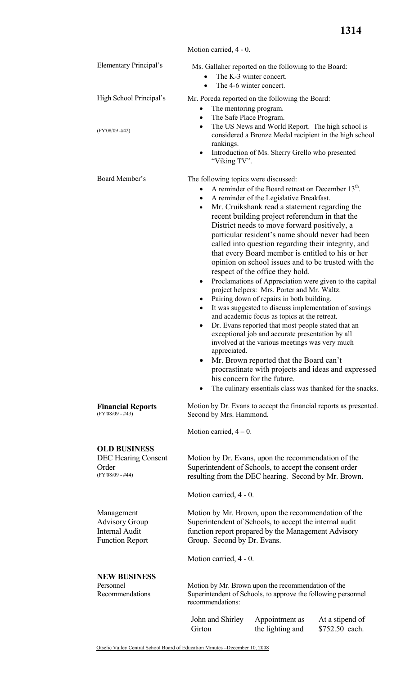|                                                                                        | Motion carried, 4 - 0.                                                                                                                                                                                                                                                                                                                                                                                                                                                                                                                                                                                                                                                                                                                                                                                                                                                                                                                                                                                                                                                                                                                                                                                                                                                        |                                    |                                   |  |
|----------------------------------------------------------------------------------------|-------------------------------------------------------------------------------------------------------------------------------------------------------------------------------------------------------------------------------------------------------------------------------------------------------------------------------------------------------------------------------------------------------------------------------------------------------------------------------------------------------------------------------------------------------------------------------------------------------------------------------------------------------------------------------------------------------------------------------------------------------------------------------------------------------------------------------------------------------------------------------------------------------------------------------------------------------------------------------------------------------------------------------------------------------------------------------------------------------------------------------------------------------------------------------------------------------------------------------------------------------------------------------|------------------------------------|-----------------------------------|--|
| <b>Elementary Principal's</b>                                                          | Ms. Gallaher reported on the following to the Board:<br>The K-3 winter concert.<br>The 4-6 winter concert.<br>$\bullet$                                                                                                                                                                                                                                                                                                                                                                                                                                                                                                                                                                                                                                                                                                                                                                                                                                                                                                                                                                                                                                                                                                                                                       |                                    |                                   |  |
| High School Principal's<br>(FY'08/09 -#42)                                             | Mr. Poreda reported on the following the Board:<br>The mentoring program.<br>$\bullet$<br>The Safe Place Program.<br>$\bullet$<br>The US News and World Report. The high school is<br>$\bullet$<br>considered a Bronze Medal recipient in the high school<br>rankings.<br>Introduction of Ms. Sherry Grello who presented<br>$\bullet$<br>"Viking TV".                                                                                                                                                                                                                                                                                                                                                                                                                                                                                                                                                                                                                                                                                                                                                                                                                                                                                                                        |                                    |                                   |  |
| Board Member's                                                                         | The following topics were discussed:<br>A reminder of the Board retreat on December 13 <sup>th</sup> .<br>$\bullet$<br>A reminder of the Legislative Breakfast.<br>$\bullet$<br>Mr. Cruikshank read a statement regarding the<br>$\bullet$<br>recent building project referendum in that the<br>District needs to move forward positively, a<br>particular resident's name should never had been<br>called into question regarding their integrity, and<br>that every Board member is entitled to his or her<br>opinion on school issues and to be trusted with the<br>respect of the office they hold.<br>Proclamations of Appreciation were given to the capital<br>٠<br>project helpers: Mrs. Porter and Mr. Waltz.<br>Pairing down of repairs in both building.<br>٠<br>It was suggested to discuss implementation of savings<br>and academic focus as topics at the retreat.<br>Dr. Evans reported that most people stated that an<br>$\bullet$<br>exceptional job and accurate presentation by all<br>involved at the various meetings was very much<br>appreciated.<br>Mr. Brown reported that the Board can't<br>procrastinate with projects and ideas and expressed<br>his concern for the future.<br>The culinary essentials class was thanked for the snacks.<br>٠ |                                    |                                   |  |
| <b>Financial Reports</b><br>(FY'08/09 - #43)                                           | Motion by Dr. Evans to accept the financial reports as presented.<br>Second by Mrs. Hammond.                                                                                                                                                                                                                                                                                                                                                                                                                                                                                                                                                                                                                                                                                                                                                                                                                                                                                                                                                                                                                                                                                                                                                                                  |                                    |                                   |  |
|                                                                                        | Motion carried, $4 - 0$ .                                                                                                                                                                                                                                                                                                                                                                                                                                                                                                                                                                                                                                                                                                                                                                                                                                                                                                                                                                                                                                                                                                                                                                                                                                                     |                                    |                                   |  |
| <b>OLD BUSINESS</b><br><b>DEC</b> Hearing Consent<br>Order<br>(FY'08/09 - #44)         | Motion by Dr. Evans, upon the recommendation of the<br>Superintendent of Schools, to accept the consent order<br>resulting from the DEC hearing. Second by Mr. Brown.                                                                                                                                                                                                                                                                                                                                                                                                                                                                                                                                                                                                                                                                                                                                                                                                                                                                                                                                                                                                                                                                                                         |                                    |                                   |  |
|                                                                                        | Motion carried, 4 - 0.                                                                                                                                                                                                                                                                                                                                                                                                                                                                                                                                                                                                                                                                                                                                                                                                                                                                                                                                                                                                                                                                                                                                                                                                                                                        |                                    |                                   |  |
| Management<br><b>Advisory Group</b><br><b>Internal Audit</b><br><b>Function Report</b> | Motion by Mr. Brown, upon the recommendation of the<br>Superintendent of Schools, to accept the internal audit<br>function report prepared by the Management Advisory<br>Group. Second by Dr. Evans.                                                                                                                                                                                                                                                                                                                                                                                                                                                                                                                                                                                                                                                                                                                                                                                                                                                                                                                                                                                                                                                                          |                                    |                                   |  |
|                                                                                        | Motion carried, 4 - 0.                                                                                                                                                                                                                                                                                                                                                                                                                                                                                                                                                                                                                                                                                                                                                                                                                                                                                                                                                                                                                                                                                                                                                                                                                                                        |                                    |                                   |  |
| <b>NEW BUSINESS</b><br>Personnel<br>Recommendations                                    | Motion by Mr. Brown upon the recommendation of the<br>Superintendent of Schools, to approve the following personnel<br>recommendations:                                                                                                                                                                                                                                                                                                                                                                                                                                                                                                                                                                                                                                                                                                                                                                                                                                                                                                                                                                                                                                                                                                                                       |                                    |                                   |  |
|                                                                                        | John and Shirley<br>Girton                                                                                                                                                                                                                                                                                                                                                                                                                                                                                                                                                                                                                                                                                                                                                                                                                                                                                                                                                                                                                                                                                                                                                                                                                                                    | Appointment as<br>the lighting and | At a stipend of<br>\$752.50 each. |  |